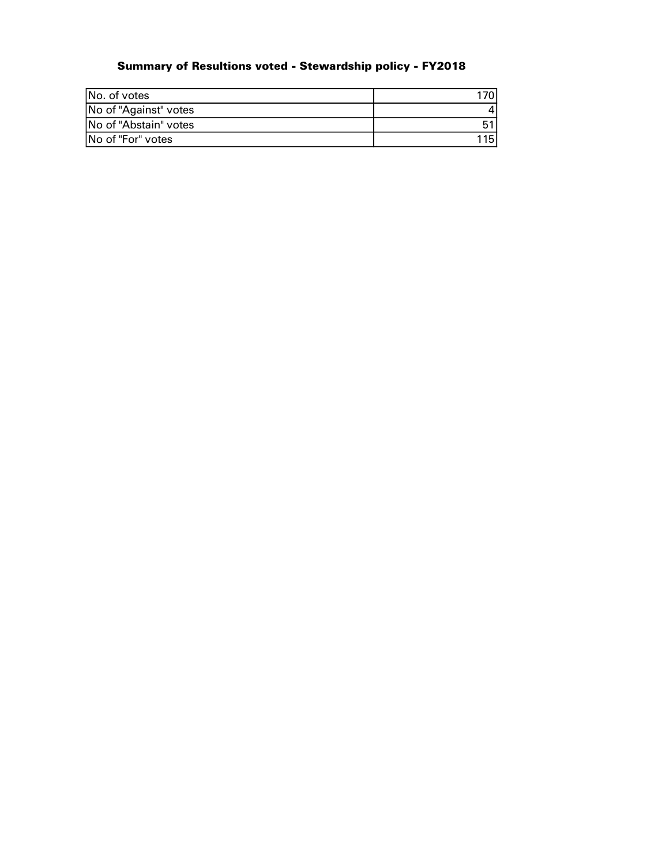## Summary of Resultions voted - Stewardship policy - FY2018

| No. of votes          | 1701 |
|-----------------------|------|
| No of "Against" votes |      |
| No of "Abstain" votes |      |
| INo of "For" votes    | 1151 |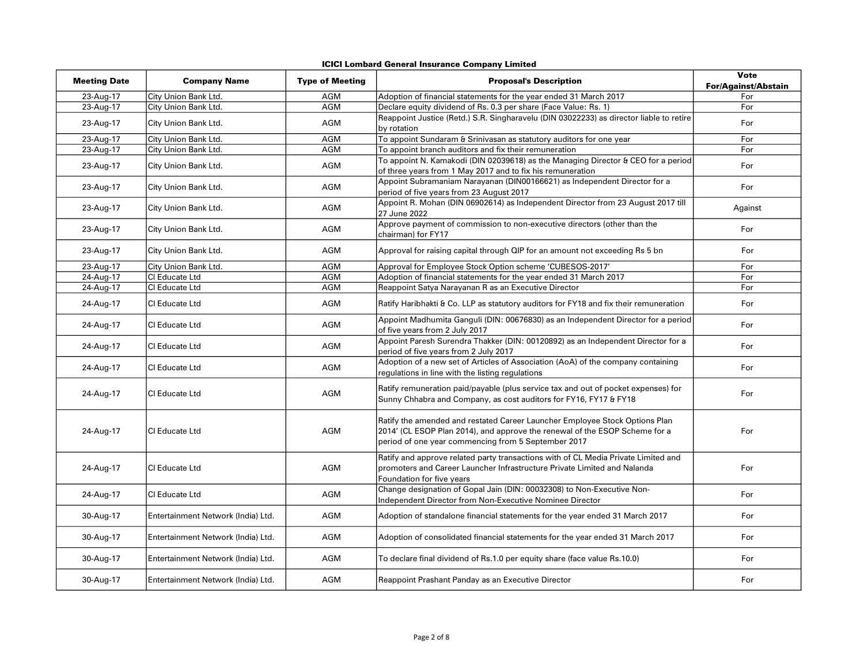## ICICI Lombard General Insurance Company Limited

| <b>Meeting Date</b> | <b>Company Name</b>                | <b>Type of Meeting</b> | <b>Proposal's Description</b>                                                                                                                                                                                     | <b>Vote</b><br><b>For/Against/Abstain</b> |
|---------------------|------------------------------------|------------------------|-------------------------------------------------------------------------------------------------------------------------------------------------------------------------------------------------------------------|-------------------------------------------|
| 23-Aug-17           | City Union Bank Ltd.               | AGM                    | Adoption of financial statements for the year ended 31 March 2017                                                                                                                                                 | For                                       |
| 23-Aug-17           | City Union Bank Ltd.               | <b>AGM</b>             | Declare equity dividend of Rs. 0.3 per share (Face Value: Rs. 1)                                                                                                                                                  | For                                       |
| 23-Aug-17           | City Union Bank Ltd.               | AGM                    | Reappoint Justice (Retd.) S.R. Singharavelu (DIN 03022233) as director liable to retire<br>by rotation                                                                                                            | For                                       |
| 23-Aug-17           | City Union Bank Ltd.               | <b>AGM</b>             | To appoint Sundaram & Srinivasan as statutory auditors for one year                                                                                                                                               | For                                       |
| 23-Aug-17           | City Union Bank Ltd.               | <b>AGM</b>             | To appoint branch auditors and fix their remuneration                                                                                                                                                             | For                                       |
| 23-Aug-17           | City Union Bank Ltd.               | AGM                    | To appoint N. Kamakodi (DIN 02039618) as the Managing Director & CEO for a period<br>of three years from 1 May 2017 and to fix his remuneration                                                                   | For                                       |
| 23-Aug-17           | City Union Bank Ltd.               | <b>AGM</b>             | Appoint Subramaniam Narayanan (DIN00166621) as Independent Director for a<br>period of five years from 23 August 2017                                                                                             | For                                       |
| 23-Aug-17           | City Union Bank Ltd.               | <b>AGM</b>             | Appoint R. Mohan (DIN 06902614) as Independent Director from 23 August 2017 till<br>27 June 2022                                                                                                                  | Against                                   |
| 23-Aug-17           | City Union Bank Ltd.               | AGM                    | Approve payment of commission to non-executive directors (other than the<br>chairman) for FY17                                                                                                                    | For                                       |
| 23-Aug-17           | City Union Bank Ltd.               | AGM                    | Approval for raising capital through QIP for an amount not exceeding Rs 5 bn                                                                                                                                      | For                                       |
| 23-Aug-17           | City Union Bank Ltd.               | AGM                    | Approval for Employee Stock Option scheme 'CUBESOS-2017'                                                                                                                                                          | For                                       |
| 24-Aug-17           | Cl Educate Ltd                     | <b>AGM</b>             | Adoption of financial statements for the year ended 31 March 2017                                                                                                                                                 | For                                       |
| 24-Aug-17           | CI Educate Ltd                     | <b>AGM</b>             | Reappoint Satya Narayanan R as an Executive Director                                                                                                                                                              | For                                       |
| 24-Aug-17           | CI Educate Ltd                     | AGM                    | Ratify Haribhakti & Co. LLP as statutory auditors for FY18 and fix their remuneration                                                                                                                             | For                                       |
| 24-Aug-17           | CI Educate Ltd                     | AGM                    | Appoint Madhumita Ganguli (DIN: 00676830) as an Independent Director for a period<br>of five years from 2 July 2017                                                                                               | For                                       |
| 24-Aug-17           | CI Educate Ltd                     | AGM                    | Appoint Paresh Surendra Thakker (DIN: 00120892) as an Independent Director for a<br>period of five years from 2 July 2017                                                                                         | For                                       |
| 24-Aug-17           | CI Educate Ltd                     | AGM                    | Adoption of a new set of Articles of Association (AoA) of the company containing<br>regulations in line with the listing regulations                                                                              | For                                       |
| 24-Aug-17           | CI Educate Ltd                     | <b>AGM</b>             | Ratify remuneration paid/payable (plus service tax and out of pocket expenses) for<br>Sunny Chhabra and Company, as cost auditors for FY16, FY17 & FY18                                                           | For                                       |
| 24-Aug-17           | CI Educate Ltd                     | AGM                    | Ratify the amended and restated Career Launcher Employee Stock Options Plan<br>2014' (CL ESOP Plan 2014), and approve the renewal of the ESOP Scheme for a<br>period of one year commencing from 5 September 2017 | For                                       |
| 24-Aug-17           | CI Educate Ltd                     | AGM                    | Ratify and approve related party transactions with of CL Media Private Limited and<br>promoters and Career Launcher Infrastructure Private Limited and Nalanda<br>Foundation for five years                       | For                                       |
| 24-Aug-17           | CI Educate Ltd                     | <b>AGM</b>             | Change designation of Gopal Jain (DIN: 00032308) to Non-Executive Non-<br>Independent Director from Non-Executive Nominee Director                                                                                | For                                       |
| 30-Aug-17           | Entertainment Network (India) Ltd. | AGM                    | Adoption of standalone financial statements for the year ended 31 March 2017                                                                                                                                      | For                                       |
| 30-Aug-17           | Entertainment Network (India) Ltd. | AGM                    | Adoption of consolidated financial statements for the year ended 31 March 2017                                                                                                                                    | For                                       |
| 30-Aug-17           | Entertainment Network (India) Ltd. | AGM                    | To declare final dividend of Rs.1.0 per equity share (face value Rs.10.0)                                                                                                                                         | For                                       |
| 30-Aug-17           | Entertainment Network (India) Ltd. | AGM                    | Reappoint Prashant Panday as an Executive Director                                                                                                                                                                | For                                       |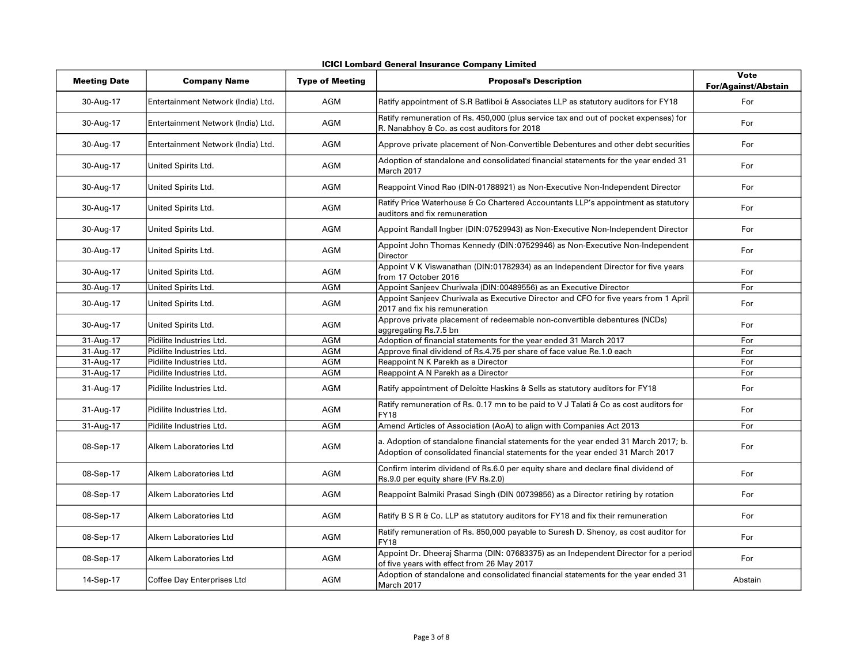|  | <b>ICICI Lombard General Insurance Company Limited</b> |  |  |
|--|--------------------------------------------------------|--|--|
|--|--------------------------------------------------------|--|--|

| <b>Meeting Date</b> | <b>Company Name</b>                | <b>Type of Meeting</b> | <b>Proposal's Description</b>                                                                                                                                         | <b>Vote</b><br><b>For/Against/Abstain</b> |
|---------------------|------------------------------------|------------------------|-----------------------------------------------------------------------------------------------------------------------------------------------------------------------|-------------------------------------------|
| 30-Aug-17           | Entertainment Network (India) Ltd. | <b>AGM</b>             | Ratify appointment of S.R Batliboi & Associates LLP as statutory auditors for FY18                                                                                    | For                                       |
| 30-Aug-17           | Entertainment Network (India) Ltd. | <b>AGM</b>             | Ratify remuneration of Rs. 450,000 (plus service tax and out of pocket expenses) for<br>R. Nanabhoy & Co. as cost auditors for 2018                                   | For                                       |
| 30-Aug-17           | Entertainment Network (India) Ltd. | AGM                    | Approve private placement of Non-Convertible Debentures and other debt securities                                                                                     | For                                       |
| 30-Aug-17           | United Spirits Ltd.                | AGM                    | Adoption of standalone and consolidated financial statements for the year ended 31<br>March 2017                                                                      | For                                       |
| 30-Aug-17           | United Spirits Ltd.                | AGM                    | Reappoint Vinod Rao (DIN-01788921) as Non-Executive Non-Independent Director                                                                                          | For                                       |
| 30-Aug-17           | United Spirits Ltd.                | <b>AGM</b>             | Ratify Price Waterhouse & Co Chartered Accountants LLP's appointment as statutory<br>auditors and fix remuneration                                                    | For                                       |
| 30-Aug-17           | United Spirits Ltd.                | AGM                    | Appoint Randall Ingber (DIN:07529943) as Non-Executive Non-Independent Director                                                                                       | For                                       |
| 30-Aug-17           | United Spirits Ltd.                | AGM                    | Appoint John Thomas Kennedy (DIN:07529946) as Non-Executive Non-Independent<br><b>Director</b>                                                                        | For                                       |
| 30-Aug-17           | United Spirits Ltd.                | AGM                    | Appoint V K Viswanathan (DIN:01782934) as an Independent Director for five years<br>from 17 October 2016                                                              | For                                       |
| 30-Aug-17           | United Spirits Ltd.                | <b>AGM</b>             | Appoint Sanjeev Churiwala (DIN:00489556) as an Executive Director                                                                                                     | For                                       |
| 30-Aug-17           | United Spirits Ltd.                | AGM                    | Appoint Sanjeev Churiwala as Executive Director and CFO for five years from 1 April<br>2017 and fix his remuneration                                                  | For                                       |
| 30-Aug-17           | United Spirits Ltd.                | AGM                    | Approve private placement of redeemable non-convertible debentures (NCDs)<br>aggregating Rs.7.5 bn                                                                    | For                                       |
| 31-Aug-17           | Pidilite Industries Ltd.           | <b>AGM</b>             | Adoption of financial statements for the year ended 31 March 2017                                                                                                     | For                                       |
| 31-Aug-17           | Pidilite Industries Ltd.           | AGM                    | Approve final dividend of Rs.4.75 per share of face value Re.1.0 each                                                                                                 | For                                       |
| 31-Aug-17           | Pidilite Industries Ltd.           | AGM                    | Reappoint N K Parekh as a Director                                                                                                                                    | For                                       |
| 31-Aug-17           | Pidilite Industries Ltd.           | AGM                    | Reappoint A N Parekh as a Director                                                                                                                                    | For                                       |
| 31-Aug-17           | Pidilite Industries Ltd.           | <b>AGM</b>             | Ratify appointment of Deloitte Haskins & Sells as statutory auditors for FY18                                                                                         | For                                       |
| 31-Aug-17           | Pidilite Industries Ltd.           | <b>AGM</b>             | Ratify remuneration of Rs. 0.17 mn to be paid to V J Talati & Co as cost auditors for<br><b>FY18</b>                                                                  | For                                       |
| 31-Aug-17           | Pidilite Industries Ltd.           | <b>AGM</b>             | Amend Articles of Association (AoA) to align with Companies Act 2013                                                                                                  | For                                       |
| 08-Sep-17           | Alkem Laboratories Ltd             | AGM                    | a. Adoption of standalone financial statements for the year ended 31 March 2017; b.<br>Adoption of consolidated financial statements for the year ended 31 March 2017 | For                                       |
| 08-Sep-17           | Alkem Laboratories Ltd             | <b>AGM</b>             | Confirm interim dividend of Rs.6.0 per equity share and declare final dividend of<br>Rs.9.0 per equity share (FV Rs.2.0)                                              | For                                       |
| 08-Sep-17           | Alkem Laboratories Ltd             | AGM                    | Reappoint Balmiki Prasad Singh (DIN 00739856) as a Director retiring by rotation                                                                                      | For                                       |
| 08-Sep-17           | Alkem Laboratories Ltd             | AGM                    | Ratify B S R & Co. LLP as statutory auditors for FY18 and fix their remuneration                                                                                      | For                                       |
| 08-Sep-17           | Alkem Laboratories Ltd             | AGM                    | Ratify remuneration of Rs. 850,000 payable to Suresh D. Shenoy, as cost auditor for<br><b>FY18</b>                                                                    | For                                       |
| 08-Sep-17           | Alkem Laboratories Ltd             | AGM                    | Appoint Dr. Dheeraj Sharma (DIN: 07683375) as an Independent Director for a period<br>of five years with effect from 26 May 2017                                      | For                                       |
| 14-Sep-17           | Coffee Day Enterprises Ltd         | <b>AGM</b>             | Adoption of standalone and consolidated financial statements for the year ended 31<br>March 2017                                                                      | Abstain                                   |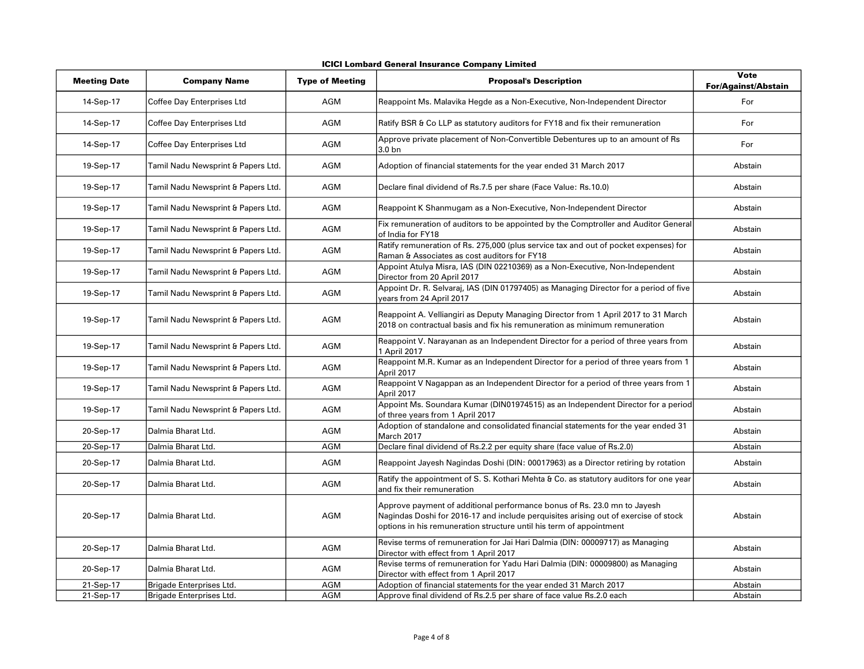| <b>Meeting Date</b> | <b>Company Name</b>                | <b>Type of Meeting</b> | <b>Proposal's Description</b>                                                                                                                                                                                                          | Vote<br><b>For/Against/Abstain</b> |
|---------------------|------------------------------------|------------------------|----------------------------------------------------------------------------------------------------------------------------------------------------------------------------------------------------------------------------------------|------------------------------------|
| 14-Sep-17           | Coffee Day Enterprises Ltd         | AGM                    | Reappoint Ms. Malavika Hegde as a Non-Executive, Non-Independent Director                                                                                                                                                              | For                                |
| 14-Sep-17           | Coffee Day Enterprises Ltd         | AGM                    | Ratify BSR & Co LLP as statutory auditors for FY18 and fix their remuneration                                                                                                                                                          | For                                |
| 14-Sep-17           | Coffee Day Enterprises Ltd         | AGM                    | Approve private placement of Non-Convertible Debentures up to an amount of Rs<br>3.0 <sub>bn</sub>                                                                                                                                     | For                                |
| 19-Sep-17           | Tamil Nadu Newsprint & Papers Ltd. | <b>AGM</b>             | Adoption of financial statements for the year ended 31 March 2017                                                                                                                                                                      | Abstain                            |
| 19-Sep-17           | Tamil Nadu Newsprint & Papers Ltd. | <b>AGM</b>             | Declare final dividend of Rs.7.5 per share (Face Value: Rs.10.0)                                                                                                                                                                       | Abstain                            |
| 19-Sep-17           | Tamil Nadu Newsprint & Papers Ltd. | <b>AGM</b>             | Reappoint K Shanmugam as a Non-Executive, Non-Independent Director                                                                                                                                                                     | Abstain                            |
| 19-Sep-17           | Tamil Nadu Newsprint & Papers Ltd. | <b>AGM</b>             | Fix remuneration of auditors to be appointed by the Comptroller and Auditor General<br>of India for FY18                                                                                                                               | Abstain                            |
| 19-Sep-17           | Tamil Nadu Newsprint & Papers Ltd. | <b>AGM</b>             | Ratify remuneration of Rs. 275,000 (plus service tax and out of pocket expenses) for<br>Raman & Associates as cost auditors for FY18                                                                                                   | Abstain                            |
| 19-Sep-17           | Tamil Nadu Newsprint & Papers Ltd. | AGM                    | Appoint Atulya Misra, IAS (DIN 02210369) as a Non-Executive, Non-Independent<br>Director from 20 April 2017                                                                                                                            | Abstain                            |
| 19-Sep-17           | Tamil Nadu Newsprint & Papers Ltd. | AGM                    | Appoint Dr. R. Selvaraj, IAS (DIN 01797405) as Managing Director for a period of five<br>years from 24 April 2017                                                                                                                      | Abstain                            |
| 19-Sep-17           | Tamil Nadu Newsprint & Papers Ltd. | <b>AGM</b>             | Reappoint A. Velliangiri as Deputy Managing Director from 1 April 2017 to 31 March<br>2018 on contractual basis and fix his remuneration as minimum remuneration                                                                       | Abstain                            |
| 19-Sep-17           | Tamil Nadu Newsprint & Papers Ltd. | <b>AGM</b>             | Reappoint V. Narayanan as an Independent Director for a period of three years from<br>1 April 2017                                                                                                                                     | Abstain                            |
| 19-Sep-17           | Tamil Nadu Newsprint & Papers Ltd. | <b>AGM</b>             | Reappoint M.R. Kumar as an Independent Director for a period of three years from 1<br>April 2017                                                                                                                                       | Abstain                            |
| 19-Sep-17           | Tamil Nadu Newsprint & Papers Ltd. | <b>AGM</b>             | Reappoint V Nagappan as an Independent Director for a period of three years from 1<br>April 2017                                                                                                                                       | Abstain                            |
| 19-Sep-17           | Tamil Nadu Newsprint & Papers Ltd. | <b>AGM</b>             | Appoint Ms. Soundara Kumar (DIN01974515) as an Independent Director for a period<br>of three years from 1 April 2017                                                                                                                   | Abstain                            |
| 20-Sep-17           | Dalmia Bharat Ltd.                 | <b>AGM</b>             | Adoption of standalone and consolidated financial statements for the year ended 31<br>March 2017                                                                                                                                       | Abstain                            |
| 20-Sep-17           | Dalmia Bharat Ltd.                 | <b>AGM</b>             | Declare final dividend of Rs.2.2 per equity share (face value of Rs.2.0)                                                                                                                                                               | Abstain                            |
| 20-Sep-17           | Dalmia Bharat Ltd.                 | AGM                    | Reappoint Jayesh Nagindas Doshi (DIN: 00017963) as a Director retiring by rotation                                                                                                                                                     | Abstain                            |
| 20-Sep-17           | Dalmia Bharat Ltd.                 | AGM                    | Ratify the appointment of S. S. Kothari Mehta & Co. as statutory auditors for one year<br>and fix their remuneration                                                                                                                   | Abstain                            |
| 20-Sep-17           | Dalmia Bharat Ltd.                 | <b>AGM</b>             | Approve payment of additional performance bonus of Rs. 23.0 mn to Jayesh<br>Nagindas Doshi for 2016-17 and include perquisites arising out of exercise of stock<br>options in his remuneration structure until his term of appointment | Abstain                            |
| 20-Sep-17           | Dalmia Bharat Ltd.                 | <b>AGM</b>             | Revise terms of remuneration for Jai Hari Dalmia (DIN: 00009717) as Managing<br>Director with effect from 1 April 2017                                                                                                                 | Abstain                            |
| 20-Sep-17           | Dalmia Bharat Ltd.                 | <b>AGM</b>             | Revise terms of remuneration for Yadu Hari Dalmia (DIN: 00009800) as Managing<br>Director with effect from 1 April 2017                                                                                                                | Abstain                            |
| 21-Sep-17           | Brigade Enterprises Ltd.           | <b>AGM</b>             | Adoption of financial statements for the year ended 31 March 2017                                                                                                                                                                      | Abstain                            |
| 21-Sep-17           | Brigade Enterprises Ltd.           | <b>AGM</b>             | Approve final dividend of Rs.2.5 per share of face value Rs.2.0 each                                                                                                                                                                   | Abstain                            |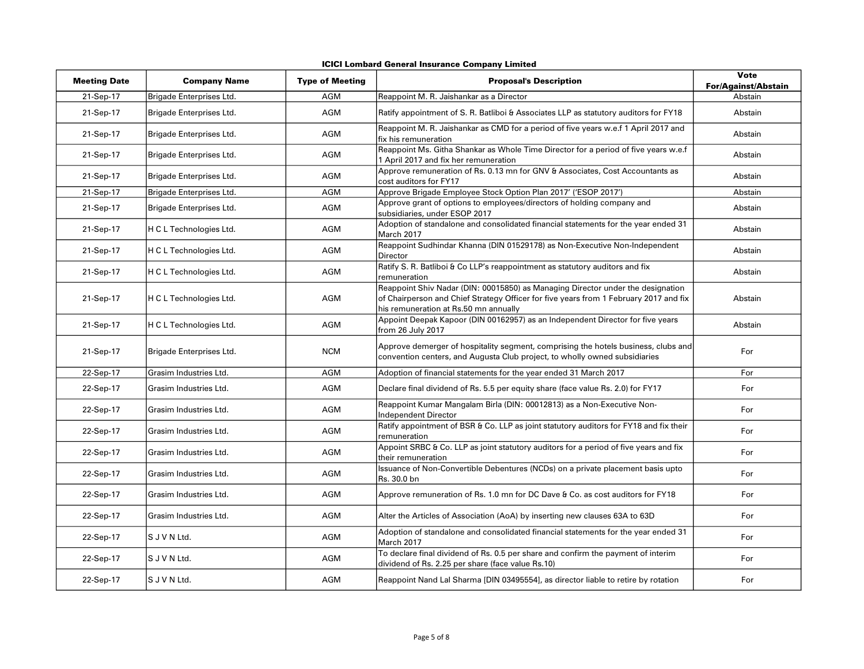| <b>ICICI Lombard General Insurance Company Limited</b> |  |  |  |
|--------------------------------------------------------|--|--|--|
|--------------------------------------------------------|--|--|--|

| <b>Meeting Date</b> | <b>Company Name</b>      | <b>Type of Meeting</b> | <b>Proposal's Description</b>                                                                                                                                                                                     | <b>Vote</b><br><b>For/Against/Abstain</b> |
|---------------------|--------------------------|------------------------|-------------------------------------------------------------------------------------------------------------------------------------------------------------------------------------------------------------------|-------------------------------------------|
| 21-Sep-17           | Brigade Enterprises Ltd. | <b>AGM</b>             | Reappoint M. R. Jaishankar as a Director                                                                                                                                                                          | Abstain                                   |
| 21-Sep-17           | Brigade Enterprises Ltd. | <b>AGM</b>             | Ratify appointment of S. R. Batliboi & Associates LLP as statutory auditors for FY18                                                                                                                              | Abstain                                   |
| 21-Sep-17           | Brigade Enterprises Ltd. | AGM                    | Reappoint M. R. Jaishankar as CMD for a period of five years w.e.f 1 April 2017 and<br>fix his remuneration                                                                                                       | Abstain                                   |
| 21-Sep-17           | Brigade Enterprises Ltd. | AGM                    | Reappoint Ms. Githa Shankar as Whole Time Director for a period of five years w.e.f<br>1 April 2017 and fix her remuneration                                                                                      | Abstain                                   |
| 21-Sep-17           | Brigade Enterprises Ltd. | AGM                    | Approve remuneration of Rs. 0.13 mn for GNV & Associates, Cost Accountants as<br>cost auditors for FY17                                                                                                           | Abstain                                   |
| $21-Sep-17$         | Brigade Enterprises Ltd. | <b>AGM</b>             | Approve Brigade Employee Stock Option Plan 2017' ('ESOP 2017')                                                                                                                                                    | Abstain                                   |
| 21-Sep-17           | Brigade Enterprises Ltd. | <b>AGM</b>             | Approve grant of options to employees/directors of holding company and<br>subsidiaries, under ESOP 2017                                                                                                           | Abstain                                   |
| 21-Sep-17           | H C L Technologies Ltd.  | AGM                    | Adoption of standalone and consolidated financial statements for the year ended 31<br>March 2017                                                                                                                  | Abstain                                   |
| 21-Sep-17           | H C L Technologies Ltd.  | AGM                    | Reappoint Sudhindar Khanna (DIN 01529178) as Non-Executive Non-Independent<br>Director                                                                                                                            | Abstain                                   |
| 21-Sep-17           | H C L Technologies Ltd.  | AGM                    | Ratify S. R. Batliboi & Co LLP's reappointment as statutory auditors and fix<br>remuneration                                                                                                                      | Abstain                                   |
| 21-Sep-17           | H C L Technologies Ltd.  | <b>AGM</b>             | Reappoint Shiv Nadar (DIN: 00015850) as Managing Director under the designation<br>of Chairperson and Chief Strategy Officer for five years from 1 February 2017 and fix<br>his remuneration at Rs.50 mn annually | Abstain                                   |
| 21-Sep-17           | H C L Technologies Ltd.  | AGM                    | Appoint Deepak Kapoor (DIN 00162957) as an Independent Director for five years<br>from 26 July 2017                                                                                                               | Abstain                                   |
| 21-Sep-17           | Brigade Enterprises Ltd. | <b>NCM</b>             | Approve demerger of hospitality segment, comprising the hotels business, clubs and<br>convention centers, and Augusta Club project, to wholly owned subsidiaries                                                  | For                                       |
| 22-Sep-17           | Grasim Industries Ltd.   | <b>AGM</b>             | Adoption of financial statements for the year ended 31 March 2017                                                                                                                                                 | For                                       |
| 22-Sep-17           | Grasim Industries Ltd.   | <b>AGM</b>             | Declare final dividend of Rs. 5.5 per equity share (face value Rs. 2.0) for FY17                                                                                                                                  | For                                       |
| 22-Sep-17           | Grasim Industries Ltd.   | AGM                    | Reappoint Kumar Mangalam Birla (DIN: 00012813) as a Non-Executive Non-<br><b>Independent Director</b>                                                                                                             | For                                       |
| 22-Sep-17           | Grasim Industries Ltd.   | AGM                    | Ratify appointment of BSR & Co. LLP as joint statutory auditors for FY18 and fix their<br>remuneration                                                                                                            | For                                       |
| 22-Sep-17           | Grasim Industries Ltd.   | AGM                    | Appoint SRBC & Co. LLP as joint statutory auditors for a period of five years and fix<br>their remuneration                                                                                                       | For                                       |
| 22-Sep-17           | Grasim Industries Ltd.   | AGM                    | Issuance of Non-Convertible Debentures (NCDs) on a private placement basis upto<br>Rs. 30.0 bn                                                                                                                    | For                                       |
| 22-Sep-17           | Grasim Industries Ltd.   | AGM                    | Approve remuneration of Rs. 1.0 mn for DC Dave & Co. as cost auditors for FY18                                                                                                                                    | For                                       |
| 22-Sep-17           | Grasim Industries Ltd.   | AGM                    | Alter the Articles of Association (AoA) by inserting new clauses 63A to 63D                                                                                                                                       | For                                       |
| 22-Sep-17           | S J V N Ltd.             | AGM                    | Adoption of standalone and consolidated financial statements for the year ended 31<br>March 2017                                                                                                                  | For                                       |
| 22-Sep-17           | S J V N Ltd.             | AGM                    | To declare final dividend of Rs. 0.5 per share and confirm the payment of interim<br>dividend of Rs. 2.25 per share (face value Rs.10)                                                                            | For                                       |
| 22-Sep-17           | S J V N Ltd.             | <b>AGM</b>             | Reappoint Nand Lal Sharma [DIN 03495554], as director liable to retire by rotation                                                                                                                                | For                                       |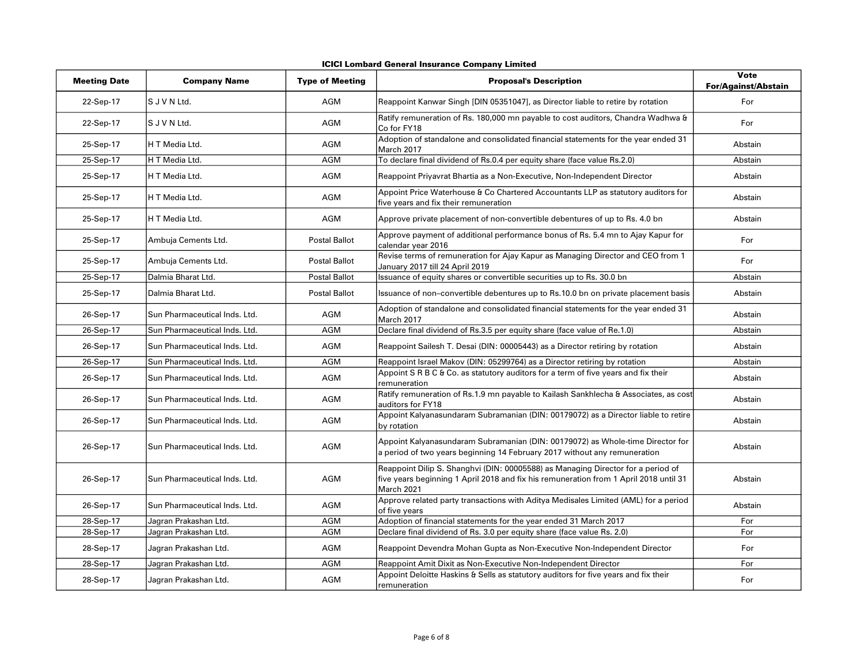|  |  |  | <b>ICICI Lombard General Insurance Company Limited</b> |  |  |
|--|--|--|--------------------------------------------------------|--|--|
|--|--|--|--------------------------------------------------------|--|--|

| <b>Meeting Date</b> | <b>Company Name</b>           | <b>Type of Meeting</b> | <b>Proposal's Description</b>                                                                                                                                                           | Vote<br><b>For/Against/Abstain</b> |
|---------------------|-------------------------------|------------------------|-----------------------------------------------------------------------------------------------------------------------------------------------------------------------------------------|------------------------------------|
| 22-Sep-17           | S J V N Ltd.                  | <b>AGM</b>             | Reappoint Kanwar Singh [DIN 05351047], as Director liable to retire by rotation                                                                                                         | For                                |
| 22-Sep-17           | S J V N Ltd.                  | <b>AGM</b>             | Ratify remuneration of Rs. 180,000 mn payable to cost auditors, Chandra Wadhwa &<br>Co for FY18                                                                                         | For                                |
| 25-Sep-17           | H T Media Ltd.                | AGM                    | Adoption of standalone and consolidated financial statements for the year ended 31<br>March 2017                                                                                        | Abstain                            |
| 25-Sep-17           | H T Media Ltd.                | AGM                    | To declare final dividend of Rs.0.4 per equity share (face value Rs.2.0)                                                                                                                | Abstain                            |
| 25-Sep-17           | H T Media Ltd.                | AGM                    | Reappoint Priyavrat Bhartia as a Non-Executive, Non-Independent Director                                                                                                                | Abstain                            |
| 25-Sep-17           | H T Media Ltd.                | <b>AGM</b>             | Appoint Price Waterhouse & Co Chartered Accountants LLP as statutory auditors for<br>five years and fix their remuneration                                                              | Abstain                            |
| 25-Sep-17           | H T Media Ltd.                | AGM                    | Approve private placement of non-convertible debentures of up to Rs. 4.0 bn                                                                                                             | Abstain                            |
| 25-Sep-17           | Ambuja Cements Ltd.           | <b>Postal Ballot</b>   | Approve payment of additional performance bonus of Rs. 5.4 mn to Ajay Kapur for<br>calendar year 2016                                                                                   | For                                |
| 25-Sep-17           | Ambuja Cements Ltd.           | <b>Postal Ballot</b>   | Revise terms of remuneration for Ajay Kapur as Managing Director and CEO from 1<br>January 2017 till 24 April 2019                                                                      | For                                |
| 25-Sep-17           | Dalmia Bharat Ltd.            | <b>Postal Ballot</b>   | Issuance of equity shares or convertible securities up to Rs. 30.0 bn                                                                                                                   | Abstain                            |
| 25-Sep-17           | Dalmia Bharat Ltd.            | <b>Postal Ballot</b>   | Issuance of non–convertible debentures up to Rs.10.0 bn on private placement basis                                                                                                      | Abstain                            |
| 26-Sep-17           | Sun Pharmaceutical Inds. Ltd. | AGM                    | Adoption of standalone and consolidated financial statements for the year ended 31<br>March 2017                                                                                        | Abstain                            |
| 26-Sep-17           | Sun Pharmaceutical Inds. Ltd. | AGM                    | Declare final dividend of Rs.3.5 per equity share (face value of Re.1.0)                                                                                                                | Abstain                            |
| 26-Sep-17           | Sun Pharmaceutical Inds. Ltd. | AGM                    | Reappoint Sailesh T. Desai (DIN: 00005443) as a Director retiring by rotation                                                                                                           | Abstain                            |
| 26-Sep-17           | Sun Pharmaceutical Inds. Ltd. | <b>AGM</b>             | Reappoint Israel Makov (DIN: 05299764) as a Director retiring by rotation                                                                                                               | Abstain                            |
| 26-Sep-17           | Sun Pharmaceutical Inds. Ltd. | AGM                    | Appoint S R B C & Co. as statutory auditors for a term of five years and fix their<br>remuneration                                                                                      | Abstain                            |
| 26-Sep-17           | Sun Pharmaceutical Inds, Ltd. | AGM                    | Ratify remuneration of Rs.1.9 mn payable to Kailash Sankhlecha & Associates, as cost<br>auditors for FY18                                                                               | Abstain                            |
| 26-Sep-17           | Sun Pharmaceutical Inds. Ltd. | AGM                    | Appoint Kalyanasundaram Subramanian (DIN: 00179072) as a Director liable to retire<br>by rotation                                                                                       | Abstain                            |
| 26-Sep-17           | Sun Pharmaceutical Inds. Ltd. | AGM                    | Appoint Kalyanasundaram Subramanian (DIN: 00179072) as Whole-time Director for<br>a period of two years beginning 14 February 2017 without any remuneration                             | Abstain                            |
| 26-Sep-17           | Sun Pharmaceutical Inds. Ltd. | <b>AGM</b>             | Reappoint Dilip S. Shanghvi (DIN: 00005588) as Managing Director for a period of<br>five years beginning 1 April 2018 and fix his remuneration from 1 April 2018 until 31<br>March 2021 | Abstain                            |
| 26-Sep-17           | Sun Pharmaceutical Inds. Ltd. | AGM                    | Approve related party transactions with Aditya Medisales Limited (AML) for a period<br>of five years                                                                                    | Abstain                            |
| 28-Sep-17           | Jagran Prakashan Ltd.         | AGM                    | Adoption of financial statements for the year ended 31 March 2017                                                                                                                       | For                                |
| 28-Sep-17           | Jagran Prakashan Ltd.         | <b>AGM</b>             | Declare final dividend of Rs. 3.0 per equity share (face value Rs. 2.0)                                                                                                                 | For                                |
| 28-Sep-17           | Jagran Prakashan Ltd.         | AGM                    | Reappoint Devendra Mohan Gupta as Non-Executive Non-Independent Director                                                                                                                | For                                |
| 28-Sep-17           | Jagran Prakashan Ltd.         | <b>AGM</b>             | Reappoint Amit Dixit as Non-Executive Non-Independent Director                                                                                                                          | For                                |
| 28-Sep-17           | Jagran Prakashan Ltd.         | AGM                    | Appoint Deloitte Haskins & Sells as statutory auditors for five years and fix their<br>remuneration                                                                                     | For                                |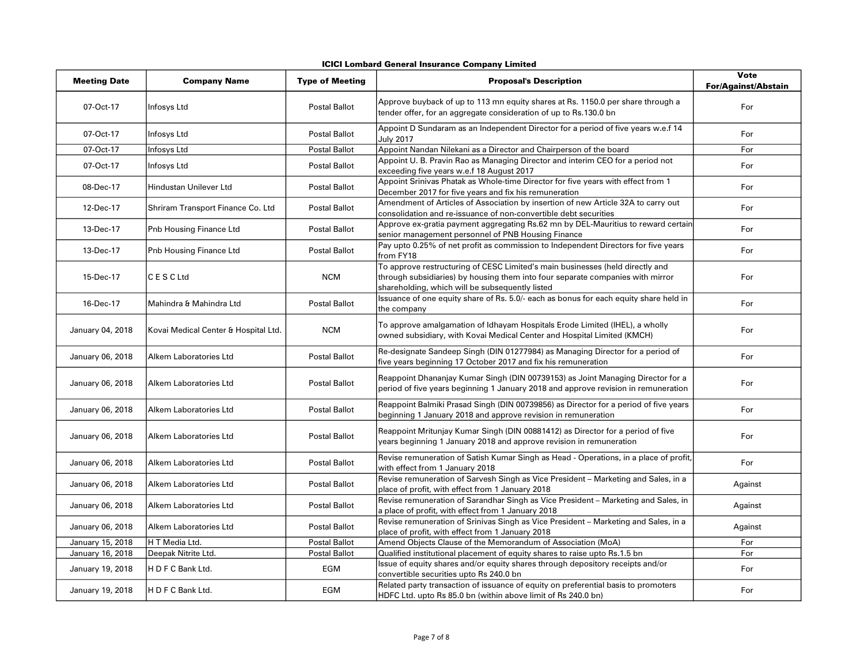| <b>ICICI Lombard General Insurance Company Limited</b> |  |  |  |
|--------------------------------------------------------|--|--|--|
|--------------------------------------------------------|--|--|--|

| <b>Meeting Date</b>     | <b>Company Name</b>                  | <b>Type of Meeting</b> | <b>Proposal's Description</b>                                                                                                                                                                                      | <b>Vote</b><br><b>For/Against/Abstain</b> |
|-------------------------|--------------------------------------|------------------------|--------------------------------------------------------------------------------------------------------------------------------------------------------------------------------------------------------------------|-------------------------------------------|
| 07-Oct-17               | Infosys Ltd                          | <b>Postal Ballot</b>   | Approve buyback of up to 113 mn equity shares at Rs. 1150.0 per share through a<br>tender offer, for an aggregate consideration of up to Rs.130.0 bn                                                               | For                                       |
| 07-Oct-17               | Infosys Ltd                          | Postal Ballot          | Appoint D Sundaram as an Independent Director for a period of five years w.e.f 14<br><b>July 2017</b>                                                                                                              | For                                       |
| 07-Oct-17               | Infosys Ltd                          | <b>Postal Ballot</b>   | Appoint Nandan Nilekani as a Director and Chairperson of the board                                                                                                                                                 | For                                       |
| 07-Oct-17               | Infosys Ltd                          | <b>Postal Ballot</b>   | Appoint U. B. Pravin Rao as Managing Director and interim CEO for a period not<br>exceeding five years w.e.f 18 August 2017                                                                                        | For                                       |
| 08-Dec-17               | Hindustan Unilever Ltd               | <b>Postal Ballot</b>   | Appoint Srinivas Phatak as Whole-time Director for five years with effect from 1<br>December 2017 for five years and fix his remuneration                                                                          | For                                       |
| 12-Dec-17               | Shriram Transport Finance Co. Ltd    | <b>Postal Ballot</b>   | Amendment of Articles of Association by insertion of new Article 32A to carry out<br>consolidation and re-issuance of non-convertible debt securities                                                              | For                                       |
| 13-Dec-17               | Pnb Housing Finance Ltd              | <b>Postal Ballot</b>   | Approve ex-gratia payment aggregating Rs.62 mn by DEL-Mauritius to reward certain<br>senior management personnel of PNB Housing Finance                                                                            | For                                       |
| 13-Dec-17               | Pnb Housing Finance Ltd              | Postal Ballot          | Pay upto 0.25% of net profit as commission to Independent Directors for five years<br>from FY18                                                                                                                    | For                                       |
| 15-Dec-17               | C E S C Ltd                          | <b>NCM</b>             | To approve restructuring of CESC Limited's main businesses (held directly and<br>through subsidiaries) by housing them into four separate companies with mirror<br>shareholding, which will be subsequently listed | For                                       |
| 16-Dec-17               | Mahindra & Mahindra Ltd              | <b>Postal Ballot</b>   | Issuance of one equity share of Rs. 5.0/- each as bonus for each equity share held in<br>the company                                                                                                               | For                                       |
| January 04, 2018        | Kovai Medical Center & Hospital Ltd. | <b>NCM</b>             | To approve amalgamation of Idhayam Hospitals Erode Limited (IHEL), a wholly<br>owned subsidiary, with Kovai Medical Center and Hospital Limited (KMCH)                                                             | For                                       |
| January 06, 2018        | Alkem Laboratories Ltd               | <b>Postal Ballot</b>   | Re-designate Sandeep Singh (DIN 01277984) as Managing Director for a period of<br>five years beginning 17 October 2017 and fix his remuneration                                                                    | For                                       |
| January 06, 2018        | Alkem Laboratories Ltd               | <b>Postal Ballot</b>   | Reappoint Dhananjay Kumar Singh (DIN 00739153) as Joint Managing Director for a<br>period of five years beginning 1 January 2018 and approve revision in remuneration                                              | For                                       |
| January 06, 2018        | Alkem Laboratories Ltd               | <b>Postal Ballot</b>   | Reappoint Balmiki Prasad Singh (DIN 00739856) as Director for a period of five years<br>beginning 1 January 2018 and approve revision in remuneration                                                              | For                                       |
| January 06, 2018        | Alkem Laboratories Ltd               | <b>Postal Ballot</b>   | Reappoint Mritunjay Kumar Singh (DIN 00881412) as Director for a period of five<br>years beginning 1 January 2018 and approve revision in remuneration                                                             | For                                       |
| January 06, 2018        | Alkem Laboratories Ltd               | <b>Postal Ballot</b>   | Revise remuneration of Satish Kumar Singh as Head - Operations, in a place of profit,<br>with effect from 1 January 2018                                                                                           | For                                       |
| January 06, 2018        | Alkem Laboratories Ltd               | <b>Postal Ballot</b>   | Revise remuneration of Sarvesh Singh as Vice President - Marketing and Sales, in a<br>place of profit, with effect from 1 January 2018                                                                             | Against                                   |
| January 06, 2018        | Alkem Laboratories Ltd               | <b>Postal Ballot</b>   | Revise remuneration of Sarandhar Singh as Vice President - Marketing and Sales, in<br>a place of profit, with effect from 1 January 2018                                                                           | Against                                   |
| January 06, 2018        | Alkem Laboratories Ltd               | <b>Postal Ballot</b>   | Revise remuneration of Srinivas Singh as Vice President - Marketing and Sales, in a<br>place of profit, with effect from 1 January 2018                                                                            | Against                                   |
| January 15, 2018        | H T Media Ltd.                       | <b>Postal Ballot</b>   | Amend Objects Clause of the Memorandum of Association (MoA)                                                                                                                                                        | For                                       |
| <b>January 16, 2018</b> | Deepak Nitrite Ltd.                  | Postal Ballot          | Qualified institutional placement of equity shares to raise upto Rs.1.5 bn                                                                                                                                         | For                                       |
| January 19, 2018        | H D F C Bank Ltd.                    | EGM                    | Issue of equity shares and/or equity shares through depository receipts and/or<br>convertible securities upto Rs 240.0 bn                                                                                          | For                                       |
| January 19, 2018        | H D F C Bank Ltd.                    | EGM                    | Related party transaction of issuance of equity on preferential basis to promoters<br>HDFC Ltd. upto Rs 85.0 bn (within above limit of Rs 240.0 bn)                                                                | For                                       |